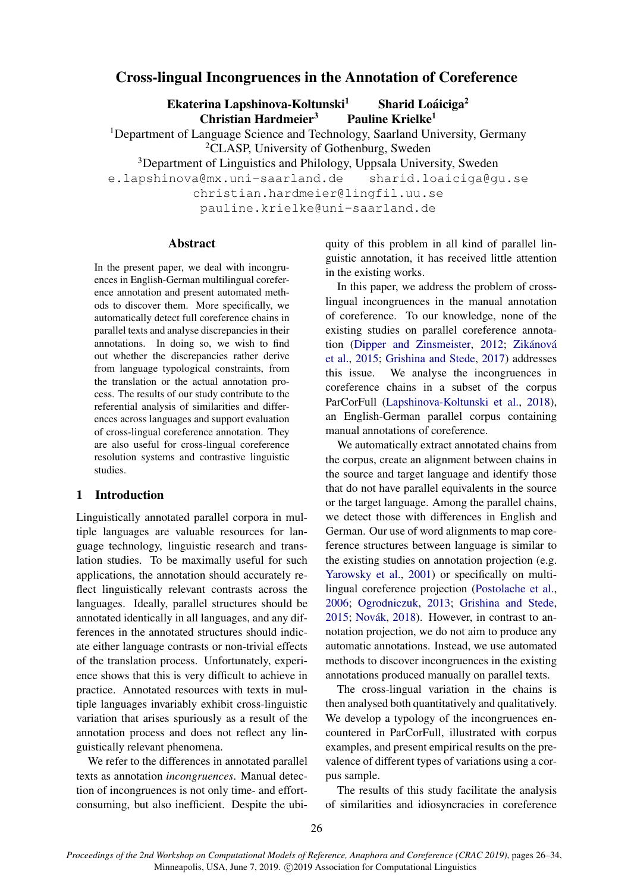# Cross-lingual Incongruences in the Annotation of Coreference

Ekaterina Lapshinova-Koltunski $<sup>1</sup>$ </sup> Sharid Loáiciga<sup>2</sup>  $Christian Hardmeier<sup>3</sup>$  Pauline Krielke<sup>1</sup>

<sup>1</sup>Department of Language Science and Technology, Saarland University, Germany <sup>2</sup>CLASP, University of Gothenburg, Sweden

<sup>3</sup>Department of Linguistics and Philology, Uppsala University, Sweden

e.lapshinova@mx.uni-saarland.de sharid.loaiciga@gu.se

christian.hardmeier@lingfil.uu.se

pauline.krielke@uni-saarland.de

### Abstract

In the present paper, we deal with incongruences in English-German multilingual coreference annotation and present automated methods to discover them. More specifically, we automatically detect full coreference chains in parallel texts and analyse discrepancies in their annotations. In doing so, we wish to find out whether the discrepancies rather derive from language typological constraints, from the translation or the actual annotation process. The results of our study contribute to the referential analysis of similarities and differences across languages and support evaluation of cross-lingual coreference annotation. They are also useful for cross-lingual coreference resolution systems and contrastive linguistic studies.

### 1 Introduction

Linguistically annotated parallel corpora in multiple languages are valuable resources for language technology, linguistic research and translation studies. To be maximally useful for such applications, the annotation should accurately reflect linguistically relevant contrasts across the languages. Ideally, parallel structures should be annotated identically in all languages, and any differences in the annotated structures should indicate either language contrasts or non-trivial effects of the translation process. Unfortunately, experience shows that this is very difficult to achieve in practice. Annotated resources with texts in multiple languages invariably exhibit cross-linguistic variation that arises spuriously as a result of the annotation process and does not reflect any linguistically relevant phenomena.

We refer to the differences in annotated parallel texts as annotation *incongruences*. Manual detection of incongruences is not only time- and effortconsuming, but also inefficient. Despite the ubiquity of this problem in all kind of parallel linguistic annotation, it has received little attention in the existing works.

In this paper, we address the problem of crosslingual incongruences in the manual annotation of coreference. To our knowledge, none of the existing studies on parallel coreference annota-tion [\(Dipper and Zinsmeister,](#page-8-0) [2012;](#page-8-0) Zikánová [et al.,](#page-8-1) [2015;](#page-8-1) [Grishina and Stede,](#page-8-2) [2017\)](#page-8-2) addresses this issue. We analyse the incongruences in coreference chains in a subset of the corpus ParCorFull [\(Lapshinova-Koltunski et al.,](#page-8-3) [2018\)](#page-8-3), an English-German parallel corpus containing manual annotations of coreference.

We automatically extract annotated chains from the corpus, create an alignment between chains in the source and target language and identify those that do not have parallel equivalents in the source or the target language. Among the parallel chains, we detect those with differences in English and German. Our use of word alignments to map coreference structures between language is similar to the existing studies on annotation projection (e.g. [Yarowsky et al.,](#page-8-4) [2001\)](#page-8-4) or specifically on multilingual coreference projection [\(Postolache et al.,](#page-8-5) [2006;](#page-8-5) [Ogrodniczuk,](#page-8-6) [2013;](#page-8-6) [Grishina and Stede,](#page-8-7) [2015;](#page-8-7) Novák, [2018\)](#page-8-8). However, in contrast to annotation projection, we do not aim to produce any automatic annotations. Instead, we use automated methods to discover incongruences in the existing annotations produced manually on parallel texts.

The cross-lingual variation in the chains is then analysed both quantitatively and qualitatively. We develop a typology of the incongruences encountered in ParCorFull, illustrated with corpus examples, and present empirical results on the prevalence of different types of variations using a corpus sample.

The results of this study facilitate the analysis of similarities and idiosyncracies in coreference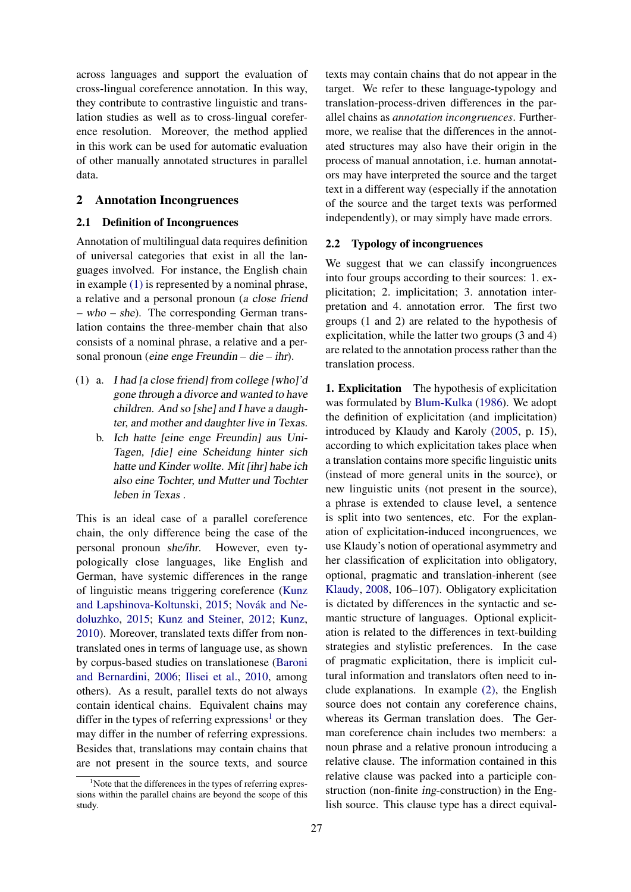across languages and support the evaluation of cross-lingual coreference annotation. In this way, they contribute to contrastive linguistic and translation studies as well as to cross-lingual coreference resolution. Moreover, the method applied in this work can be used for automatic evaluation of other manually annotated structures in parallel data.

#### <span id="page-1-2"></span>2 Annotation Incongruences

#### 2.1 Definition of Incongruences

Annotation of multilingual data requires definition of universal categories that exist in all the languages involved. For instance, the English chain in example [\(1\)](#page-1-0) is represented by a nominal phrase, a relative and a personal pronoun (a close friend – who – she). The corresponding German translation contains the three-member chain that also consists of a nominal phrase, a relative and a personal pronoun (eine enge Freundin – die – ihr).

- <span id="page-1-0"></span>(1) a. I had [a close friend] from college [who]'d gone through a divorce and wanted to have children. And so [she] and I have a daughter, and mother and daughter live in Texas.
	- b. Ich hatte [eine enge Freundin] aus Uni-Tagen, [die] eine Scheidung hinter sich hatte und Kinder wollte. Mit [ihr] habe ich also eine Tochter, und Mutter und Tochter leben in Texas .

This is an ideal case of a parallel coreference chain, the only difference being the case of the personal pronoun she/ihr. However, even typologically close languages, like English and German, have systemic differences in the range of linguistic means triggering coreference [\(Kunz](#page-8-9) [and Lapshinova-Koltunski,](#page-8-9) [2015;](#page-8-9) Novák and Ne[doluzhko,](#page-8-10) [2015;](#page-8-10) [Kunz and Steiner,](#page-8-11) [2012;](#page-8-11) [Kunz,](#page-8-12) [2010\)](#page-8-12). Moreover, translated texts differ from nontranslated ones in terms of language use, as shown by corpus-based studies on translationese [\(Baroni](#page-8-13) [and Bernardini,](#page-8-13) [2006;](#page-8-13) [Ilisei et al.,](#page-8-14) [2010,](#page-8-14) among others). As a result, parallel texts do not always contain identical chains. Equivalent chains may differ in the types of referring expressions<sup>[1](#page-1-1)</sup> or they may differ in the number of referring expressions. Besides that, translations may contain chains that are not present in the source texts, and source texts may contain chains that do not appear in the target. We refer to these language-typology and translation-process-driven differences in the parallel chains as *annotation incongruences*. Furthermore, we realise that the differences in the annotated structures may also have their origin in the process of manual annotation, i.e. human annotators may have interpreted the source and the target text in a different way (especially if the annotation of the source and the target texts was performed independently), or may simply have made errors.

#### 2.2 Typology of incongruences

We suggest that we can classify incongruences into four groups according to their sources: 1. explicitation; 2. implicitation; 3. annotation interpretation and 4. annotation error. The first two groups (1 and 2) are related to the hypothesis of explicitation, while the latter two groups (3 and 4) are related to the annotation process rather than the translation process.

1. Explicitation The hypothesis of explicitation was formulated by [Blum-Kulka](#page-8-15) [\(1986\)](#page-8-15). We adopt the definition of explicitation (and implicitation) introduced by Klaudy and Karoly [\(2005,](#page-8-16) p. 15), according to which explicitation takes place when a translation contains more specific linguistic units (instead of more general units in the source), or new linguistic units (not present in the source), a phrase is extended to clause level, a sentence is split into two sentences, etc. For the explanation of explicitation-induced incongruences, we use Klaudy's notion of operational asymmetry and her classification of explicitation into obligatory, optional, pragmatic and translation-inherent (see [Klaudy,](#page-8-17) [2008,](#page-8-17) 106–107). Obligatory explicitation is dictated by differences in the syntactic and semantic structure of languages. Optional explicitation is related to the differences in text-building strategies and stylistic preferences. In the case of pragmatic explicitation, there is implicit cultural information and translators often need to include explanations. In example [\(2\),](#page-2-0) the English source does not contain any coreference chains, whereas its German translation does. The German coreference chain includes two members: a noun phrase and a relative pronoun introducing a relative clause. The information contained in this relative clause was packed into a participle construction (non-finite ing-construction) in the English source. This clause type has a direct equival-

<span id="page-1-1"></span><sup>&</sup>lt;sup>1</sup>Note that the differences in the types of referring expressions within the parallel chains are beyond the scope of this study.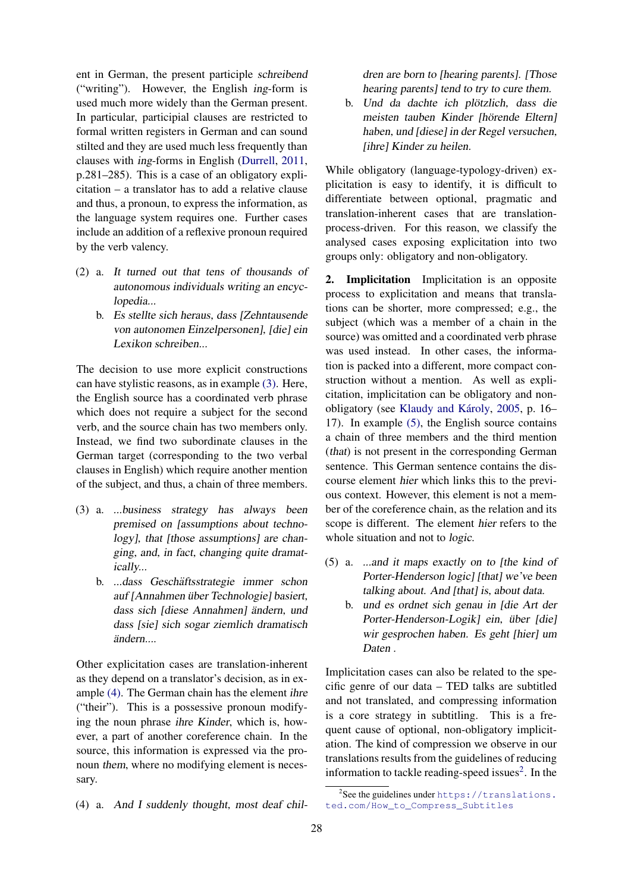ent in German, the present participle schreibend ("writing"). However, the English ing-form is used much more widely than the German present. In particular, participial clauses are restricted to formal written registers in German and can sound stilted and they are used much less frequently than clauses with ing-forms in English [\(Durrell,](#page-8-18) [2011,](#page-8-18) p.281–285). This is a case of an obligatory explicitation – a translator has to add a relative clause and thus, a pronoun, to express the information, as the language system requires one. Further cases include an addition of a reflexive pronoun required by the verb valency.

- <span id="page-2-0"></span>(2) a. It turned out that tens of thousands of autonomous individuals writing an encyclopedia...
	- b. Es stellte sich heraus, dass [Zehntausende von autonomen Einzelpersonen], [die] ein Lexikon schreiben...

The decision to use more explicit constructions can have stylistic reasons, as in example [\(3\).](#page-2-1) Here, the English source has a coordinated verb phrase which does not require a subject for the second verb, and the source chain has two members only. Instead, we find two subordinate clauses in the German target (corresponding to the two verbal clauses in English) which require another mention of the subject, and thus, a chain of three members.

- <span id="page-2-1"></span>(3) a. ...business strategy has always been premised on [assumptions about technology], that [those assumptions] are changing, and, in fact, changing quite dramatically...
	- b. ...dass Geschäftsstrategie immer schon auf [Annahmen über Technologie] basiert, dass sich [diese Annahmen] ändern, und dass [sie] sich sogar ziemlich dramatisch ändern....

Other explicitation cases are translation-inherent as they depend on a translator's decision, as in example [\(4\).](#page-2-2) The German chain has the element ihre ("their"). This is a possessive pronoun modifying the noun phrase ihre Kinder, which is, however, a part of another coreference chain. In the source, this information is expressed via the pronoun them, where no modifying element is necessary.

<span id="page-2-2"></span>(4) a. And I suddenly thought, most deaf chil-

dren are born to [hearing parents]. [Those hearing parents] tend to try to cure them.

b. Und da dachte ich plötzlich, dass die meisten tauben Kinder [hörende Eltern] haben, und [diese] in der Regel versuchen, [ihre] Kinder zu heilen.

While obligatory (language-typology-driven) explicitation is easy to identify, it is difficult to differentiate between optional, pragmatic and translation-inherent cases that are translationprocess-driven. For this reason, we classify the analysed cases exposing explicitation into two groups only: obligatory and non-obligatory.

2. Implicitation Implicitation is an opposite process to explicitation and means that translations can be shorter, more compressed; e.g., the subject (which was a member of a chain in the source) was omitted and a coordinated verb phrase was used instead. In other cases, the information is packed into a different, more compact construction without a mention. As well as explicitation, implicitation can be obligatory and non-obligatory (see Klaudy and Károly, [2005,](#page-8-16) p. 16– 17). In example [\(5\),](#page-2-3) the English source contains a chain of three members and the third mention (that) is not present in the corresponding German sentence. This German sentence contains the discourse element hier which links this to the previous context. However, this element is not a member of the coreference chain, as the relation and its scope is different. The element hier refers to the whole situation and not to logic.

- <span id="page-2-3"></span>(5) a. ...and it maps exactly on to [the kind of Porter-Henderson logic] [that] we've been talking about. And [that] is, about data.
	- b. und es ordnet sich genau in [die Art der Porter-Henderson-Logik] ein, über [die] wir gesprochen haben. Es geht [hier] um Daten .

Implicitation cases can also be related to the specific genre of our data – TED talks are subtitled and not translated, and compressing information is a core strategy in subtitling. This is a frequent cause of optional, non-obligatory implicitation. The kind of compression we observe in our translations results from the guidelines of reducing information to tackle reading-speed issues $2$ . In the

<span id="page-2-4"></span><sup>&</sup>lt;sup>2</sup>See the guidelines under [https://translations.](https://translations.ted.com/How_to_Compress_Subtitles) [ted.com/How\\_to\\_Compress\\_Subtitles](https://translations.ted.com/How_to_Compress_Subtitles)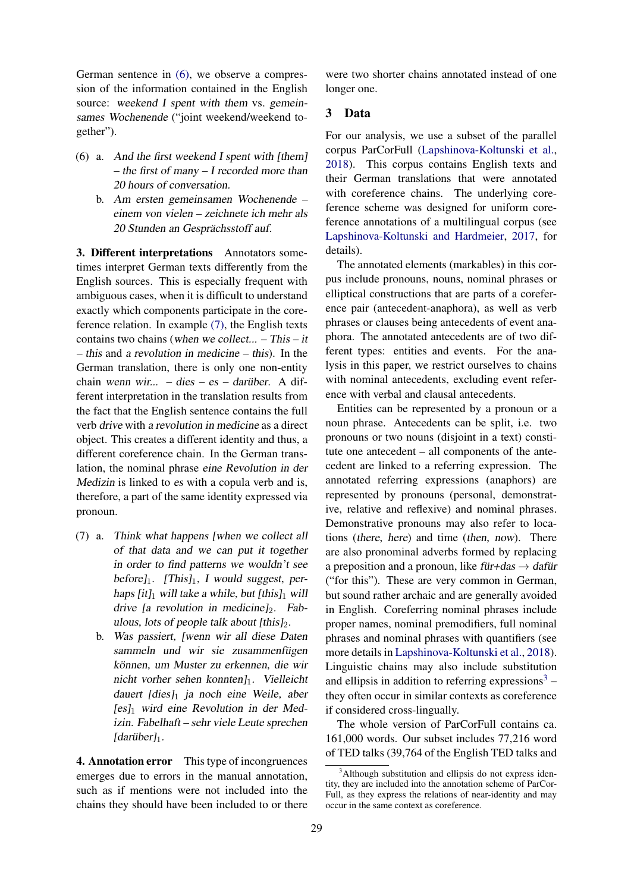German sentence in [\(6\),](#page-3-0) we observe a compression of the information contained in the English source: weekend I spent with them vs. gemeinsames Wochenende ("joint weekend/weekend together").

- <span id="page-3-0"></span>(6) a. And the first weekend I spent with [them] – the first of many – I recorded more than 20 hours of conversation.
	- b. Am ersten gemeinsamen Wochenende einem von vielen – zeichnete ich mehr als 20 Stunden an Gesprächsstoff auf.

3. Different interpretations Annotators sometimes interpret German texts differently from the English sources. This is especially frequent with ambiguous cases, when it is difficult to understand exactly which components participate in the coreference relation. In example [\(7\),](#page-3-1) the English texts contains two chains (when we collect... – This – it – this and a revolution in medicine – this). In the German translation, there is only one non-entity chain wenn wir... – dies – es – darüber. A different interpretation in the translation results from the fact that the English sentence contains the full verb drive with a revolution in medicine as a direct object. This creates a different identity and thus, a different coreference chain. In the German translation, the nominal phrase eine Revolution in der Medizin is linked to es with a copula verb and is, therefore, a part of the same identity expressed via pronoun.

- <span id="page-3-1"></span>(7) a. Think what happens [when we collect all of that data and we can put it together in order to find patterns we wouldn't see before] $_1$ . [This] $_1$ , I would suggest, perhaps [it]<sub>1</sub> will take a while, but [this]<sub>1</sub> will drive [a revolution in medicine] $_2$ . Fabulous, lots of people talk about  $[this]_2$ .
	- b. Was passiert, [wenn wir all diese Daten sammeln und wir sie zusammenfügen können, um Muster zu erkennen, die wir nicht vorher sehen konnten $l_1$ . Vielleicht dauert [dies] $_1$  ja noch eine Weile, aber  $[es]_1$  wird eine Revolution in der Medizin. Fabelhaft – sehr viele Leute sprechen  $[darüber]_1$ .

4. Annotation error This type of incongruences emerges due to errors in the manual annotation, such as if mentions were not included into the chains they should have been included to or there

were two shorter chains annotated instead of one longer one.

#### <span id="page-3-3"></span>3 Data

For our analysis, we use a subset of the parallel corpus ParCorFull [\(Lapshinova-Koltunski et al.,](#page-8-3) [2018\)](#page-8-3). This corpus contains English texts and their German translations that were annotated with coreference chains. The underlying coreference scheme was designed for uniform coreference annotations of a multilingual corpus (see [Lapshinova-Koltunski and Hardmeier,](#page-8-19) [2017,](#page-8-19) for details).

The annotated elements (markables) in this corpus include pronouns, nouns, nominal phrases or elliptical constructions that are parts of a coreference pair (antecedent-anaphora), as well as verb phrases or clauses being antecedents of event anaphora. The annotated antecedents are of two different types: entities and events. For the analysis in this paper, we restrict ourselves to chains with nominal antecedents, excluding event reference with verbal and clausal antecedents.

Entities can be represented by a pronoun or a noun phrase. Antecedents can be split, i.e. two pronouns or two nouns (disjoint in a text) constitute one antecedent – all components of the antecedent are linked to a referring expression. The annotated referring expressions (anaphors) are represented by pronouns (personal, demonstrative, relative and reflexive) and nominal phrases. Demonstrative pronouns may also refer to locations (there, here) and time (then, now). There are also pronominal adverbs formed by replacing a preposition and a pronoun, like für+das  $\rightarrow$  dafür ("for this"). These are very common in German, but sound rather archaic and are generally avoided in English. Coreferring nominal phrases include proper names, nominal premodifiers, full nominal phrases and nominal phrases with quantifiers (see more details in [Lapshinova-Koltunski et al.,](#page-8-3) [2018\)](#page-8-3). Linguistic chains may also include substitution and ellipsis in addition to referring expressions<sup>[3](#page-3-2)</sup> – they often occur in similar contexts as coreference if considered cross-lingually.

The whole version of ParCorFull contains ca. 161,000 words. Our subset includes 77,216 word of TED talks (39,764 of the English TED talks and

<span id="page-3-2"></span><sup>&</sup>lt;sup>3</sup>Although substitution and ellipsis do not express identity, they are included into the annotation scheme of ParCor-Full, as they express the relations of near-identity and may occur in the same context as coreference.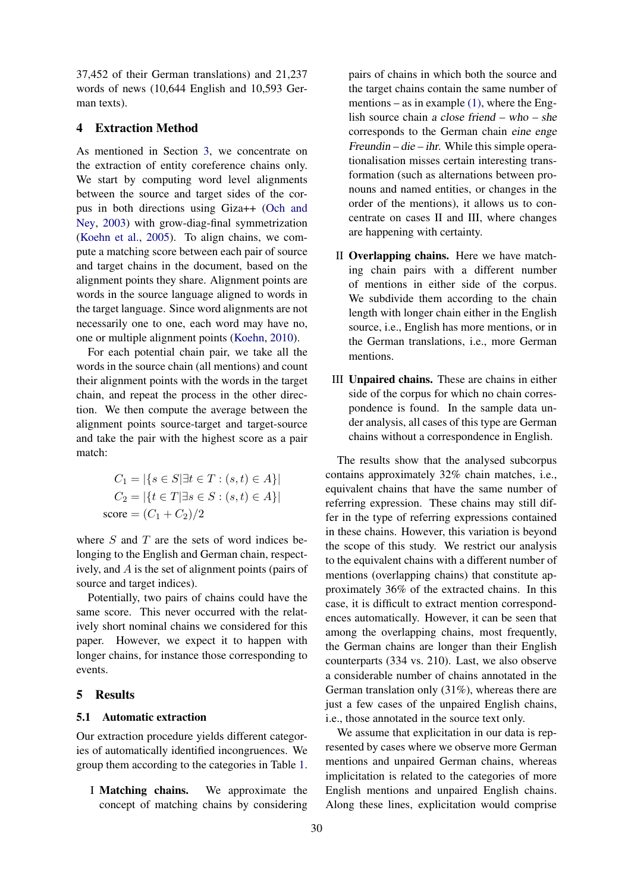37,452 of their German translations) and 21,237 words of news (10,644 English and 10,593 German texts).

# 4 Extraction Method

As mentioned in Section [3,](#page-3-3) we concentrate on the extraction of entity coreference chains only. We start by computing word level alignments between the source and target sides of the corpus in both directions using Giza++ [\(Och and](#page-8-20) [Ney,](#page-8-20) [2003\)](#page-8-20) with grow-diag-final symmetrization [\(Koehn et al.,](#page-8-21) [2005\)](#page-8-21). To align chains, we compute a matching score between each pair of source and target chains in the document, based on the alignment points they share. Alignment points are words in the source language aligned to words in the target language. Since word alignments are not necessarily one to one, each word may have no, one or multiple alignment points [\(Koehn,](#page-8-22) [2010\)](#page-8-22).

For each potential chain pair, we take all the words in the source chain (all mentions) and count their alignment points with the words in the target chain, and repeat the process in the other direction. We then compute the average between the alignment points source-target and target-source and take the pair with the highest score as a pair match:

$$
C_1 = |\{s \in S | \exists t \in T : (s, t) \in A\}|
$$
  
\n
$$
C_2 = |\{t \in T | \exists s \in S : (s, t) \in A\}|
$$
  
\nscore = 
$$
(C_1 + C_2)/2
$$

where  $S$  and  $T$  are the sets of word indices belonging to the English and German chain, respectively, and A is the set of alignment points (pairs of source and target indices).

Potentially, two pairs of chains could have the same score. This never occurred with the relatively short nominal chains we considered for this paper. However, we expect it to happen with longer chains, for instance those corresponding to events.

# 5 Results

#### <span id="page-4-0"></span>5.1 Automatic extraction

Our extraction procedure yields different categories of automatically identified incongruences. We group them according to the categories in Table [1.](#page-5-0)

I Matching chains. We approximate the concept of matching chains by considering

pairs of chains in which both the source and the target chains contain the same number of mentions – as in example [\(1\),](#page-1-0) where the English source chain a close friend – who – she corresponds to the German chain eine enge Freundin – die – ihr. While this simple operationalisation misses certain interesting transformation (such as alternations between pronouns and named entities, or changes in the order of the mentions), it allows us to concentrate on cases II and III, where changes are happening with certainty.

- II Overlapping chains. Here we have matching chain pairs with a different number of mentions in either side of the corpus. We subdivide them according to the chain length with longer chain either in the English source, i.e., English has more mentions, or in the German translations, i.e., more German mentions.
- III Unpaired chains. These are chains in either side of the corpus for which no chain correspondence is found. In the sample data under analysis, all cases of this type are German chains without a correspondence in English.

The results show that the analysed subcorpus contains approximately 32% chain matches, i.e., equivalent chains that have the same number of referring expression. These chains may still differ in the type of referring expressions contained in these chains. However, this variation is beyond the scope of this study. We restrict our analysis to the equivalent chains with a different number of mentions (overlapping chains) that constitute approximately 36% of the extracted chains. In this case, it is difficult to extract mention correspondences automatically. However, it can be seen that among the overlapping chains, most frequently, the German chains are longer than their English counterparts (334 vs. 210). Last, we also observe a considerable number of chains annotated in the German translation only (31%), whereas there are just a few cases of the unpaired English chains, i.e., those annotated in the source text only.

We assume that explicitation in our data is represented by cases where we observe more German mentions and unpaired German chains, whereas implicitation is related to the categories of more English mentions and unpaired English chains. Along these lines, explicitation would comprise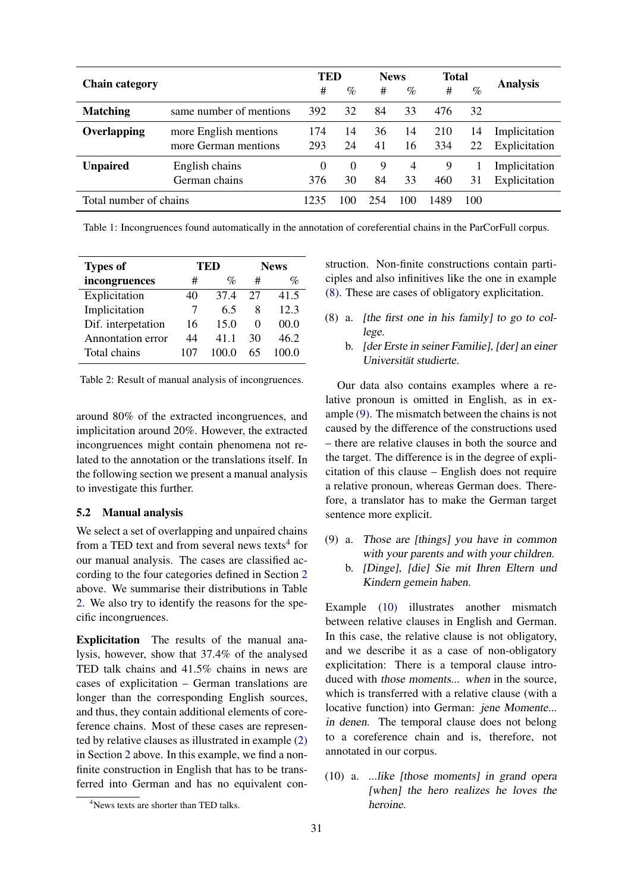<span id="page-5-0"></span>

|                        |                         | TED      |          | <b>News</b> |      | <b>Total</b> |      |                 |
|------------------------|-------------------------|----------|----------|-------------|------|--------------|------|-----------------|
| <b>Chain category</b>  |                         | #        | $\%$     | #           | $\%$ | #            | $\%$ | <b>Analysis</b> |
| <b>Matching</b>        | same number of mentions | 392      | 32       | 84          | 33   | 476          | 32   |                 |
| Overlapping            | more English mentions   | 174      | 14       | 36          | 14   | 210          | 14   | Implicitation   |
|                        | more German mentions    | 293      | 24       | 41          | 16   | 334          | 22   | Explicitation   |
| <b>Unpaired</b>        | English chains          | $\Omega$ | $\Omega$ | 9           | 4    | 9            |      | Implicitation   |
|                        | German chains           | 376      | 30       | 84          | 33   | 460          | 31   | Explicitation   |
| Total number of chains |                         | 123      | 100      | 254         | 100  | 1489         | 100  |                 |

Table 1: Incongruences found automatically in the annotation of coreferential chains in the ParCorFull corpus.

<span id="page-5-2"></span>

| <b>Types of</b>    |    | TED   | <b>News</b>       |       |  |
|--------------------|----|-------|-------------------|-------|--|
| incongruences      | #  | $\%$  | #                 | $\%$  |  |
| Explicitation      | 40 | 37.4  | 27                | 41.5  |  |
| Implicitation      |    | 65    | 8                 | 12.3  |  |
| Dif. interpetation | 16 | 15.0  | $\mathbf{\Omega}$ | 00.0  |  |
| Annontation error  | 44 | 41.1  | 30                | 46.2  |  |
| Total chains       |    | 100.0 | 65                | 100 O |  |

Table 2: Result of manual analysis of incongruences.

around 80% of the extracted incongruences, and implicitation around 20%. However, the extracted incongruences might contain phenomena not related to the annotation or the translations itself. In the following section we present a manual analysis to investigate this further.

#### 5.2 Manual analysis

We select a set of overlapping and unpaired chains from a TED text and from several news texts<sup>[4](#page-5-1)</sup> for our manual analysis. The cases are classified according to the four categories defined in Section [2](#page-1-2) above. We summarise their distributions in Table [2.](#page-5-2) We also try to identify the reasons for the specific incongruences.

Explicitation The results of the manual analysis, however, show that 37.4% of the analysed TED talk chains and 41.5% chains in news are cases of explicitation – German translations are longer than the corresponding English sources, and thus, they contain additional elements of coreference chains. Most of these cases are represented by relative clauses as illustrated in example [\(2\)](#page-2-0) in Section [2](#page-1-2) above. In this example, we find a nonfinite construction in English that has to be transferred into German and has no equivalent construction. Non-finite constructions contain participles and also infinitives like the one in example [\(8\).](#page-5-3) These are cases of obligatory explicitation.

- <span id="page-5-3"></span>(8) a. [the first one in his family] to go to college.
	- b. [der Erste in seiner Familie], [der] an einer Universität studierte.

Our data also contains examples where a relative pronoun is omitted in English, as in example [\(9\).](#page-5-4) The mismatch between the chains is not caused by the difference of the constructions used – there are relative clauses in both the source and the target. The difference is in the degree of explicitation of this clause – English does not require a relative pronoun, whereas German does. Therefore, a translator has to make the German target sentence more explicit.

- <span id="page-5-4"></span>(9) a. Those are [things] you have in common with your parents and with your children.
	- b. [Dinge], [die] Sie mit Ihren Eltern und Kindern gemein haben.

Example [\(10\)](#page-5-5) illustrates another mismatch between relative clauses in English and German. In this case, the relative clause is not obligatory, and we describe it as a case of non-obligatory explicitation: There is a temporal clause introduced with those moments... when in the source, which is transferred with a relative clause (with a locative function) into German: jene Momente... in denen. The temporal clause does not belong to a coreference chain and is, therefore, not annotated in our corpus.

<span id="page-5-5"></span>(10) a. ...like [those moments] in grand opera [when] the hero realizes he loves the heroine.

<span id="page-5-1"></span><sup>&</sup>lt;sup>4</sup>News texts are shorter than TED talks.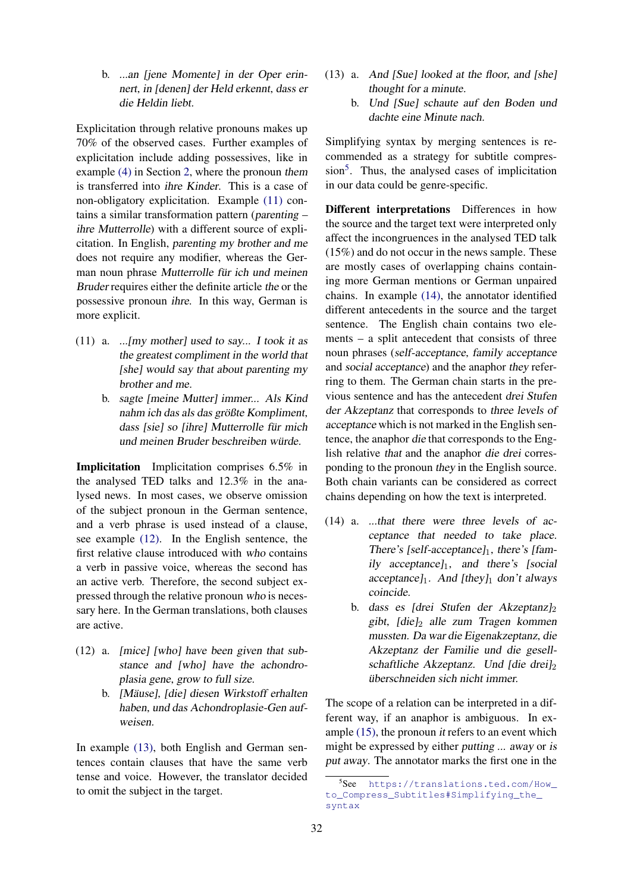b. ...an [jene Momente] in der Oper erinnert, in [denen] der Held erkennt, dass er die Heldin liebt.

Explicitation through relative pronouns makes up 70% of the observed cases. Further examples of explicitation include adding possessives, like in example [\(4\)](#page-2-2) in Section [2,](#page-1-2) where the pronoun them is transferred into ihre Kinder. This is a case of non-obligatory explicitation. Example [\(11\)](#page-6-0) contains a similar transformation pattern (parenting – ihre Mutterrolle) with a different source of explicitation. In English, parenting my brother and me does not require any modifier, whereas the German noun phrase Mutterrolle für ich und meinen Bruder requires either the definite article the or the possessive pronoun ihre. In this way, German is more explicit.

- <span id="page-6-0"></span>(11) a. ...[my mother] used to say... I took it as the greatest compliment in the world that [she] would say that about parenting my brother and me.
	- b. sagte [meine Mutter] immer... Als Kind nahm ich das als das größte Kompliment, dass [sie] so [ihre] Mutterrolle für mich und meinen Bruder beschreiben würde.

Implicitation Implicitation comprises 6.5% in the analysed TED talks and 12.3% in the analysed news. In most cases, we observe omission of the subject pronoun in the German sentence, and a verb phrase is used instead of a clause, see example [\(12\).](#page-6-1) In the English sentence, the first relative clause introduced with who contains a verb in passive voice, whereas the second has an active verb. Therefore, the second subject expressed through the relative pronoun who is necessary here. In the German translations, both clauses are active.

- <span id="page-6-1"></span>(12) a. [mice] [who] have been given that substance and [who] have the achondroplasia gene, grow to full size.
	- b. [Mäuse], [die] diesen Wirkstoff erhalten haben, und das Achondroplasie-Gen aufweisen.

<span id="page-6-2"></span>In example [\(13\),](#page-6-2) both English and German sentences contain clauses that have the same verb tense and voice. However, the translator decided to omit the subject in the target.

- (13) a. And [Sue] looked at the floor, and [she] thought for a minute.
	- b. Und [Sue] schaute auf den Boden und dachte eine Minute nach.

Simplifying syntax by merging sentences is recommended as a strategy for subtitle compres-sion<sup>[5](#page-6-3)</sup>. Thus, the analysed cases of implicitation in our data could be genre-specific.

Different interpretations Differences in how the source and the target text were interpreted only affect the incongruences in the analysed TED talk (15%) and do not occur in the news sample. These are mostly cases of overlapping chains containing more German mentions or German unpaired chains. In example [\(14\),](#page-6-4) the annotator identified different antecedents in the source and the target sentence. The English chain contains two elements – a split antecedent that consists of three noun phrases (self-acceptance, family acceptance and social acceptance) and the anaphor they referring to them. The German chain starts in the previous sentence and has the antecedent drei Stufen der Akzeptanz that corresponds to three levels of acceptance which is not marked in the English sentence, the anaphor die that corresponds to the English relative that and the anaphor die drei corresponding to the pronoun they in the English source. Both chain variants can be considered as correct chains depending on how the text is interpreted.

- <span id="page-6-4"></span>(14) a. ...that there were three levels of acceptance that needed to take place. There's [self-acceptance] $_1$ , there's [family acceptance] $_1$ , and there's [social acceptance] $_1$ . And [they] $_1$  don't always coincide.
	- b. dass es [drei Stufen der Akzeptanz] $_2$ gibt,  $\lceil \text{die} \rceil_2$  alle zum Tragen kommen mussten. Da war die Eigenakzeptanz, die Akzeptanz der Familie und die gesellschaftliche Akzeptanz. Und [die drei] $_2$ überschneiden sich nicht immer.

The scope of a relation can be interpreted in a different way, if an anaphor is ambiguous. In example  $(15)$ , the pronoun *it* refers to an event which might be expressed by either putting ... away or is put away. The annotator marks the first one in the

<span id="page-6-3"></span><sup>5</sup> See [https://translations.ted.com/How\\_](https://translations.ted.com/How_to_Compress_Subtitles#Simplifying_the_syntax) [to\\_Compress\\_Subtitles#Simplifying\\_the\\_](https://translations.ted.com/How_to_Compress_Subtitles#Simplifying_the_syntax) [syntax](https://translations.ted.com/How_to_Compress_Subtitles#Simplifying_the_syntax)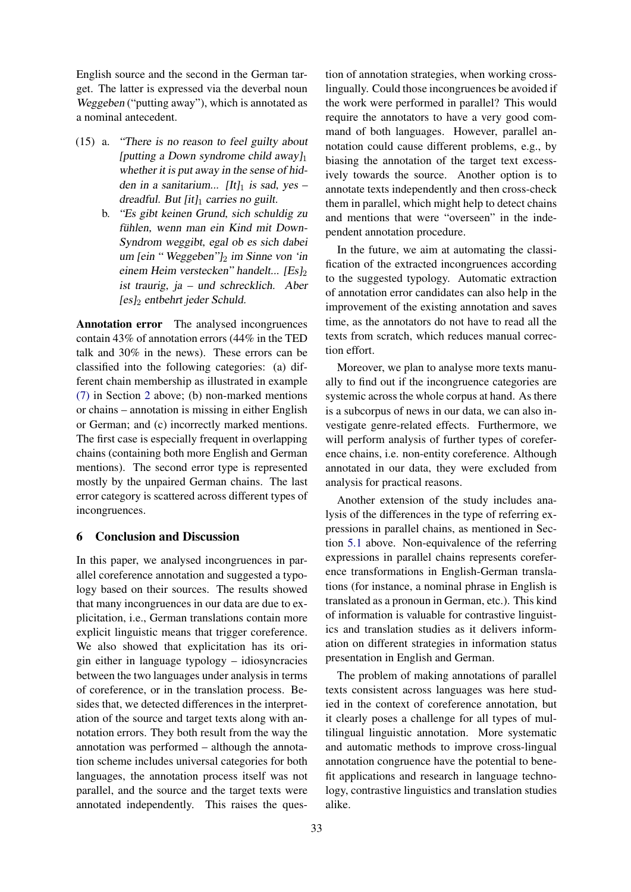English source and the second in the German target. The latter is expressed via the deverbal noun Weggeben ("putting away"), which is annotated as a nominal antecedent.

- <span id="page-7-0"></span>(15) a. "There is no reason to feel guilty about [putting a Down syndrome child away] $_1$ whether it is put away in the sense of hidden in a sanitarium... [It] $_1$  is sad, yes – dreadful. But  $[it]_1$  carries no guilt.
	- b. "Es gibt keinen Grund, sich schuldig zu fühlen, wenn man ein Kind mit Down-Syndrom weggibt, egal ob es sich dabei um [ein "Weggeben"] $_2$  im Sinne von 'in einem Heim verstecken" handelt... [Es]<sup>2</sup> ist traurig, ja – und schrecklich. Aber  $[es]_2$  entbehrt jeder Schuld.

Annotation error The analysed incongruences contain 43% of annotation errors (44% in the TED talk and 30% in the news). These errors can be classified into the following categories: (a) different chain membership as illustrated in example [\(7\)](#page-3-1) in Section [2](#page-1-2) above; (b) non-marked mentions or chains – annotation is missing in either English or German; and (c) incorrectly marked mentions. The first case is especially frequent in overlapping chains (containing both more English and German mentions). The second error type is represented mostly by the unpaired German chains. The last error category is scattered across different types of incongruences.

# 6 Conclusion and Discussion

In this paper, we analysed incongruences in parallel coreference annotation and suggested a typology based on their sources. The results showed that many incongruences in our data are due to explicitation, i.e., German translations contain more explicit linguistic means that trigger coreference. We also showed that explicitation has its origin either in language typology – idiosyncracies between the two languages under analysis in terms of coreference, or in the translation process. Besides that, we detected differences in the interpretation of the source and target texts along with annotation errors. They both result from the way the annotation was performed – although the annotation scheme includes universal categories for both languages, the annotation process itself was not parallel, and the source and the target texts were annotated independently. This raises the question of annotation strategies, when working crosslingually. Could those incongruences be avoided if the work were performed in parallel? This would require the annotators to have a very good command of both languages. However, parallel annotation could cause different problems, e.g., by biasing the annotation of the target text excessively towards the source. Another option is to annotate texts independently and then cross-check them in parallel, which might help to detect chains and mentions that were "overseen" in the independent annotation procedure.

In the future, we aim at automating the classification of the extracted incongruences according to the suggested typology. Automatic extraction of annotation error candidates can also help in the improvement of the existing annotation and saves time, as the annotators do not have to read all the texts from scratch, which reduces manual correction effort.

Moreover, we plan to analyse more texts manually to find out if the incongruence categories are systemic across the whole corpus at hand. As there is a subcorpus of news in our data, we can also investigate genre-related effects. Furthermore, we will perform analysis of further types of coreference chains, i.e. non-entity coreference. Although annotated in our data, they were excluded from analysis for practical reasons.

Another extension of the study includes analysis of the differences in the type of referring expressions in parallel chains, as mentioned in Section [5.1](#page-4-0) above. Non-equivalence of the referring expressions in parallel chains represents coreference transformations in English-German translations (for instance, a nominal phrase in English is translated as a pronoun in German, etc.). This kind of information is valuable for contrastive linguistics and translation studies as it delivers information on different strategies in information status presentation in English and German.

The problem of making annotations of parallel texts consistent across languages was here studied in the context of coreference annotation, but it clearly poses a challenge for all types of multilingual linguistic annotation. More systematic and automatic methods to improve cross-lingual annotation congruence have the potential to benefit applications and research in language technology, contrastive linguistics and translation studies alike.